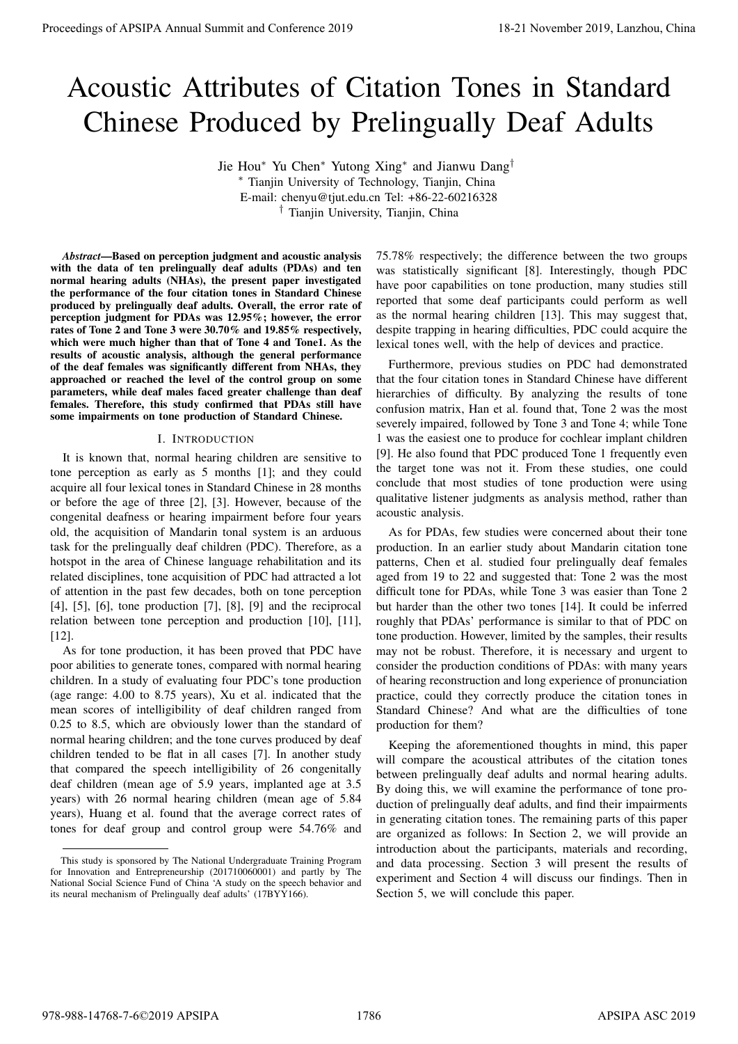# Acoustic Attributes of Citation Tones in Standard Chinese Produced by Prelingually Deaf Adults

Jie Hou<sup>∗</sup> Yu Chen<sup>∗</sup> Yutong Xing<sup>∗</sup> and Jianwu Dang†

<sup>∗</sup> Tianjin University of Technology, Tianjin, China E-mail: chenyu@tjut.edu.cn Tel: +86-22-60216328 † Tianjin University, Tianjin, China

*Abstract*—Based on perception judgment and acoustic analysis with the data of ten prelingually deaf adults (PDAs) and ten normal hearing adults (NHAs), the present paper investigated the performance of the four citation tones in Standard Chinese produced by prelingually deaf adults. Overall, the error rate of perception judgment for PDAs was 12.95%; however, the error rates of Tone 2 and Tone 3 were 30.70% and 19.85% respectively, which were much higher than that of Tone 4 and Tone1. As the results of acoustic analysis, although the general performance of the deaf females was significantly different from NHAs, they approached or reached the level of the control group on some parameters, while deaf males faced greater challenge than deaf females. Therefore, this study confirmed that PDAs still have some impairments on tone production of Standard Chinese.

## I. INTRODUCTION

It is known that, normal hearing children are sensitive to tone perception as early as 5 months [1]; and they could acquire all four lexical tones in Standard Chinese in 28 months or before the age of three [2], [3]. However, because of the congenital deafness or hearing impairment before four years old, the acquisition of Mandarin tonal system is an arduous task for the prelingually deaf children (PDC). Therefore, as a hotspot in the area of Chinese language rehabilitation and its related disciplines, tone acquisition of PDC had attracted a lot of attention in the past few decades, both on tone perception [4], [5], [6], tone production [7], [8], [9] and the reciprocal relation between tone perception and production [10], [11], [12].

As for tone production, it has been proved that PDC have poor abilities to generate tones, compared with normal hearing children. In a study of evaluating four PDC's tone production (age range: 4.00 to 8.75 years), Xu et al. indicated that the mean scores of intelligibility of deaf children ranged from 0.25 to 8.5, which are obviously lower than the standard of normal hearing children; and the tone curves produced by deaf children tended to be flat in all cases [7]. In another study that compared the speech intelligibility of 26 congenitally deaf children (mean age of 5.9 years, implanted age at 3.5 years) with 26 normal hearing children (mean age of 5.84 years), Huang et al. found that the average correct rates of tones for deaf group and control group were 54.76% and 75.78% respectively; the difference between the two groups was statistically significant [8]. Interestingly, though PDC have poor capabilities on tone production, many studies still reported that some deaf participants could perform as well as the normal hearing children [13]. This may suggest that, despite trapping in hearing difficulties, PDC could acquire the lexical tones well, with the help of devices and practice.

Furthermore, previous studies on PDC had demonstrated that the four citation tones in Standard Chinese have different hierarchies of difficulty. By analyzing the results of tone confusion matrix, Han et al. found that, Tone 2 was the most severely impaired, followed by Tone 3 and Tone 4; while Tone 1 was the easiest one to produce for cochlear implant children [9]. He also found that PDC produced Tone 1 frequently even the target tone was not it. From these studies, one could conclude that most studies of tone production were using qualitative listener judgments as analysis method, rather than acoustic analysis.

As for PDAs, few studies were concerned about their tone production. In an earlier study about Mandarin citation tone patterns, Chen et al. studied four prelingually deaf females aged from 19 to 22 and suggested that: Tone 2 was the most difficult tone for PDAs, while Tone 3 was easier than Tone 2 but harder than the other two tones [14]. It could be inferred roughly that PDAs' performance is similar to that of PDC on tone production. However, limited by the samples, their results may not be robust. Therefore, it is necessary and urgent to consider the production conditions of PDAs: with many years of hearing reconstruction and long experience of pronunciation practice, could they correctly produce the citation tones in Standard Chinese? And what are the difficulties of tone production for them? **Proceedings of APSIPA Annual Summit at China 50.21 November 2019**<br> **Accussion Conference 2019**<br> **Accussion Conference 2019**<br> **Accussion Conference 2019**<br> **A conference 2019**<br> **A conference 2019**<br> **A** conference 2019 and

Keeping the aforementioned thoughts in mind, this paper will compare the acoustical attributes of the citation tones between prelingually deaf adults and normal hearing adults. By doing this, we will examine the performance of tone production of prelingually deaf adults, and find their impairments in generating citation tones. The remaining parts of this paper are organized as follows: In Section 2, we will provide an introduction about the participants, materials and recording, and data processing. Section 3 will present the results of experiment and Section 4 will discuss our findings. Then in Section 5, we will conclude this paper.

This study is sponsored by The National Undergraduate Training Program for Innovation and Entrepreneurship (201710060001) and partly by The National Social Science Fund of China 'A study on the speech behavior and its neural mechanism of Prelingually deaf adults' (17BYY166).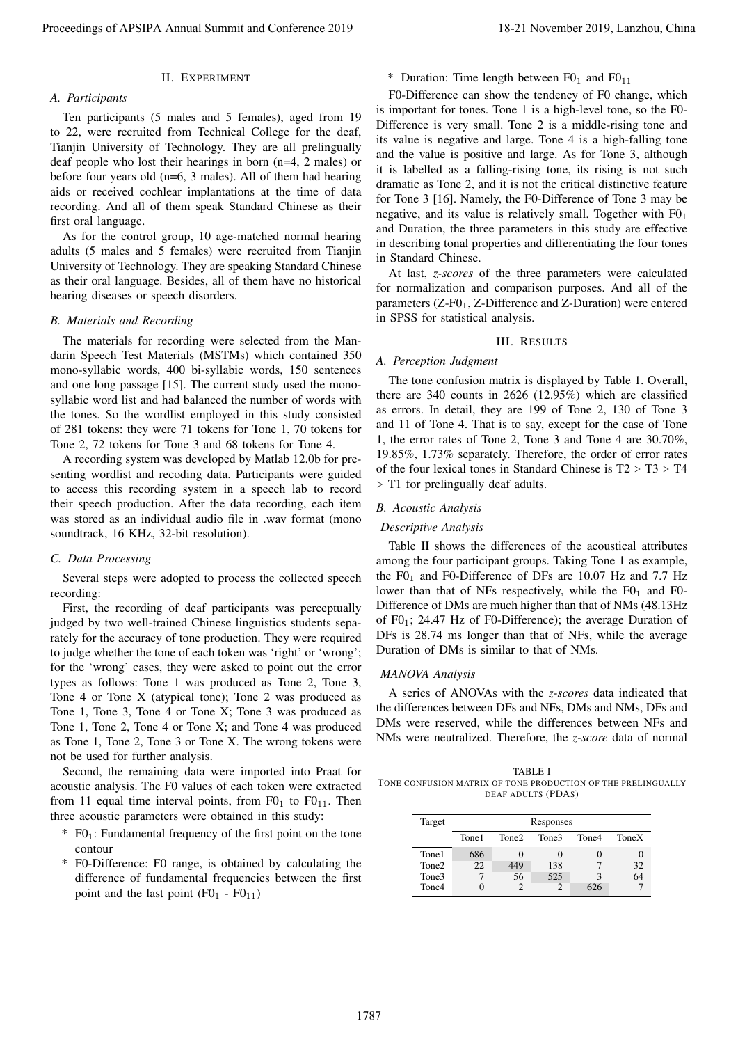## II. EXPERIMENT

## *A. Participants*

Ten participants (5 males and 5 females), aged from 19 to 22, were recruited from Technical College for the deaf, Tianjin University of Technology. They are all prelingually deaf people who lost their hearings in born (n=4, 2 males) or before four years old (n=6, 3 males). All of them had hearing aids or received cochlear implantations at the time of data recording. And all of them speak Standard Chinese as their first oral language.

As for the control group, 10 age-matched normal hearing adults (5 males and 5 females) were recruited from Tianjin University of Technology. They are speaking Standard Chinese as their oral language. Besides, all of them have no historical hearing diseases or speech disorders.

## *B. Materials and Recording*

The materials for recording were selected from the Mandarin Speech Test Materials (MSTMs) which contained 350 mono-syllabic words, 400 bi-syllabic words, 150 sentences and one long passage [15]. The current study used the monosyllabic word list and had balanced the number of words with the tones. So the wordlist employed in this study consisted of 281 tokens: they were 71 tokens for Tone 1, 70 tokens for Tone 2, 72 tokens for Tone 3 and 68 tokens for Tone 4.

A recording system was developed by Matlab 12.0b for presenting wordlist and recoding data. Participants were guided to access this recording system in a speech lab to record their speech production. After the data recording, each item was stored as an individual audio file in .wav format (mono soundtrack, 16 KHz, 32-bit resolution).

## *C. Data Processing*

Several steps were adopted to process the collected speech recording:

First, the recording of deaf participants was perceptually judged by two well-trained Chinese linguistics students separately for the accuracy of tone production. They were required to judge whether the tone of each token was 'right' or 'wrong'; for the 'wrong' cases, they were asked to point out the error types as follows: Tone 1 was produced as Tone 2, Tone 3, Tone 4 or Tone X (atypical tone); Tone 2 was produced as Tone 1, Tone 3, Tone 4 or Tone X; Tone 3 was produced as Tone 1, Tone 2, Tone 4 or Tone X; and Tone 4 was produced as Tone 1, Tone 2, Tone 3 or Tone X. The wrong tokens were not be used for further analysis.

Second, the remaining data were imported into Praat for acoustic analysis. The F0 values of each token were extracted from 11 equal time interval points, from  $F0<sub>1</sub>$  to  $F0<sub>11</sub>$ . Then three acoustic parameters were obtained in this study:

- $F0_1$ : Fundamental frequency of the first point on the tone contour
- \* F0-Difference: F0 range, is obtained by calculating the difference of fundamental frequencies between the first point and the last point  $(F0<sub>1</sub> - F0<sub>11</sub>)$

\* Duration: Time length between  $F0_1$  and  $F0_{11}$ 

F0-Difference can show the tendency of F0 change, which is important for tones. Tone 1 is a high-level tone, so the F0- Difference is very small. Tone 2 is a middle-rising tone and its value is negative and large. Tone 4 is a high-falling tone and the value is positive and large. As for Tone 3, although it is labelled as a falling-rising tone, its rising is not such dramatic as Tone 2, and it is not the critical distinctive feature for Tone 3 [16]. Namely, the F0-Difference of Tone 3 may be negative, and its value is relatively small. Together with  $F0<sub>1</sub>$ and Duration, the three parameters in this study are effective in describing tonal properties and differentiating the four tones in Standard Chinese. Proceedings of APSIPA Annual Summit at China 2019, The British Annual Summit and Conference 2019, Lanzhou, China 2019, Lanzhou, China 2019, Lanzhou, China 2019, Lanzhou, China 2019, Lanzhou, China 2019, Lanzhou, China 201

At last, *z-scores* of the three parameters were calculated for normalization and comparison purposes. And all of the parameters  $(Z-F0<sub>1</sub>, Z-Difference and Z-Duration)$  were entered in SPSS for statistical analysis.

## III. RESULTS

## *A. Perception Judgment*

The tone confusion matrix is displayed by Table 1. Overall, there are 340 counts in 2626 (12.95%) which are classified as errors. In detail, they are 199 of Tone 2, 130 of Tone 3 and 11 of Tone 4. That is to say, except for the case of Tone 1, the error rates of Tone 2, Tone 3 and Tone 4 are 30.70%, 19.85%, 1.73% separately. Therefore, the order of error rates of the four lexical tones in Standard Chinese is  $T2 > T3 > T4$ > T1 for prelingually deaf adults.

## *B. Acoustic Analysis*

## *Descriptive Analysis*

Table II shows the differences of the acoustical attributes among the four participant groups. Taking Tone 1 as example, the  $F0_1$  and F0-Difference of DFs are 10.07 Hz and 7.7 Hz lower than that of NFs respectively, while the  $F0<sub>1</sub>$  and F0-Difference of DMs are much higher than that of NMs (48.13Hz of  $F0_1$ ; 24.47 Hz of F0-Difference); the average Duration of DFs is 28.74 ms longer than that of NFs, while the average Duration of DMs is similar to that of NMs.

#### *MANOVA Analysis*

A series of ANOVAs with the *z-scores* data indicated that the differences between DFs and NFs, DMs and NMs, DFs and DMs were reserved, while the differences between NFs and NMs were neutralized. Therefore, the *z-score* data of normal

TABLE I TONE CONFUSION MATRIX OF TONE PRODUCTION OF THE PRELINGUALLY DEAF ADULTS (PDAS)

| Target            |       | Responses         |       |       |       |  |  |  |  |  |
|-------------------|-------|-------------------|-------|-------|-------|--|--|--|--|--|
|                   | Tone1 | Tone <sub>2</sub> | Tone3 | Tone4 | ToneX |  |  |  |  |  |
| Tone1             | 686   |                   | 0     |       |       |  |  |  |  |  |
| Tone <sub>2</sub> | 22    | 449               | 138   |       | 32    |  |  |  |  |  |
| Tone <sub>3</sub> |       | 56                | 525   | 3     | 64    |  |  |  |  |  |
| Tone4             |       |                   | っ     | 626   |       |  |  |  |  |  |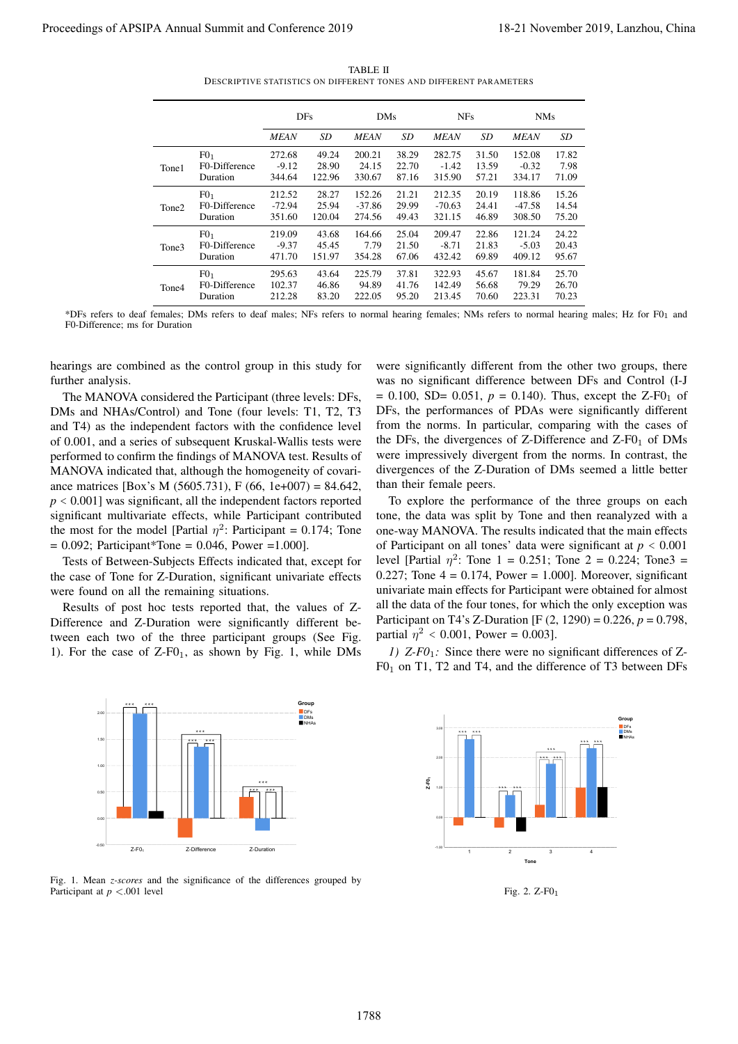TABLE II DESCRIPTIVE STATISTICS ON DIFFERENT TONES AND DIFFERENT PARAMETERS

|                                                                                                                                                                                                                                                                                                                                                                                                                                                                                                                                                                                                                                                                                            |       |                                                          |                                        |                                                      | TABLE II                               | DESCRIPTIVE STATISTICS ON DIFFERENT TONES AND DIFFERENT PARAMETERS |                                           |                                  |                                        |                                  |                                                                                                                                                                                                                                                                                                                                                                                                                                                                                                                                                                                                                                                                                                      |
|--------------------------------------------------------------------------------------------------------------------------------------------------------------------------------------------------------------------------------------------------------------------------------------------------------------------------------------------------------------------------------------------------------------------------------------------------------------------------------------------------------------------------------------------------------------------------------------------------------------------------------------------------------------------------------------------|-------|----------------------------------------------------------|----------------------------------------|------------------------------------------------------|----------------------------------------|--------------------------------------------------------------------|-------------------------------------------|----------------------------------|----------------------------------------|----------------------------------|------------------------------------------------------------------------------------------------------------------------------------------------------------------------------------------------------------------------------------------------------------------------------------------------------------------------------------------------------------------------------------------------------------------------------------------------------------------------------------------------------------------------------------------------------------------------------------------------------------------------------------------------------------------------------------------------------|
|                                                                                                                                                                                                                                                                                                                                                                                                                                                                                                                                                                                                                                                                                            |       |                                                          | DFs                                    |                                                      | DMs                                    |                                                                    | <b>NFs</b>                                |                                  | <b>NMs</b>                             |                                  |                                                                                                                                                                                                                                                                                                                                                                                                                                                                                                                                                                                                                                                                                                      |
|                                                                                                                                                                                                                                                                                                                                                                                                                                                                                                                                                                                                                                                                                            | Tone1 | F0 <sub>1</sub><br>F0-Difference                         | <b>MEAN</b><br>272.68<br>$-9.12$       | SD<br>49.24<br>28.90                                 | <b>MEAN</b><br>200.21<br>24.15         | SD<br>38.29<br>22.70                                               | <b>MEAN</b><br>282.75<br>$-1.42$          | SD<br>31.50<br>13.59             | <b>MEAN</b><br>152.08<br>$-0.32$       | SD<br>17.82<br>7.98              |                                                                                                                                                                                                                                                                                                                                                                                                                                                                                                                                                                                                                                                                                                      |
|                                                                                                                                                                                                                                                                                                                                                                                                                                                                                                                                                                                                                                                                                            | Tone2 | Duration<br>F0 <sub>1</sub><br>F0-Difference<br>Duration | 344.64<br>212.52<br>$-72.94$<br>351.60 | 122.96<br>28.27<br>25.94<br>120.04                   | 330.67<br>152.26<br>$-37.86$<br>274.56 | 87.16<br>21.21<br>29.99<br>49.43                                   | 315.90<br>212.35<br>$-70.63$<br>321.15    | 57.21<br>20.19<br>24.41<br>46.89 | 334.17<br>118.86<br>$-47.58$<br>308.50 | 71.09<br>15.26<br>14.54<br>75.20 |                                                                                                                                                                                                                                                                                                                                                                                                                                                                                                                                                                                                                                                                                                      |
|                                                                                                                                                                                                                                                                                                                                                                                                                                                                                                                                                                                                                                                                                            | Tone3 | F0 <sub>1</sub><br>F0-Difference<br>Duration             | 219.09<br>$-9.37$<br>471.70            | 43.68<br>45.45<br>151.97                             | 164.66<br>7.79<br>354.28               | 25.04<br>21.50<br>67.06                                            | 209.47<br>$-8.71$<br>432.42               | 22.86<br>21.83<br>69.89          | 121.24<br>$-5.03$<br>409.12            | 24.22<br>20.43<br>95.67          |                                                                                                                                                                                                                                                                                                                                                                                                                                                                                                                                                                                                                                                                                                      |
|                                                                                                                                                                                                                                                                                                                                                                                                                                                                                                                                                                                                                                                                                            | Tone4 | F0 <sub>1</sub><br>F0-Difference<br>Duration             | 295.63<br>102.37<br>212.28             | 43.64<br>46.86<br>83.20                              | 225.79<br>94.89<br>222.05              | 37.81<br>41.76<br>95.20                                            | 322.93<br>142.49<br>213.45                | 45.67<br>56.68<br>70.60          | 181.84<br>79.29<br>223.31              | 25.70<br>26.70<br>70.23          |                                                                                                                                                                                                                                                                                                                                                                                                                                                                                                                                                                                                                                                                                                      |
| F0-Difference; ms for Duration                                                                                                                                                                                                                                                                                                                                                                                                                                                                                                                                                                                                                                                             |       |                                                          |                                        |                                                      |                                        |                                                                    |                                           |                                  |                                        |                                  | *DFs refers to deaf females; DMs refers to deaf males; NFs refers to normal hearing females; NMs refers to normal hearing males; Hz for F01 and                                                                                                                                                                                                                                                                                                                                                                                                                                                                                                                                                      |
| further analysis.<br>The MANOVA considered the Participant (three levels: DFs,<br>DMs and NHAs/Control) and Tone (four levels: T1, T2, T3<br>and T4) as the independent factors with the confidence level<br>of 0.001, and a series of subsequent Kruskal-Wallis tests were<br>performed to confirm the findings of MANOVA test. Results of<br>MANOVA indicated that, although the homogeneity of covari-<br>ance matrices [Box's M (5605.731), F (66, 1e+007) = 84.642,<br>$p < 0.001$ ] was significant, all the independent factors reported<br>significant multivariate effects, while Participant contributed<br>the most for the model [Partial $\eta^2$ : Participant = 0.174; Tone |       |                                                          |                                        |                                                      |                                        |                                                                    | than their female peers.                  |                                  |                                        |                                  | was no significant difference between DFs and Control (I-J<br>= 0.100, SD= 0.051, $p = 0.140$ ). Thus, except the Z-F0 <sub>1</sub> of<br>DFs, the performances of PDAs were significantly different<br>from the norms. In particular, comparing with the cases of<br>the DFs, the divergences of Z-Difference and $Z-FO1$ of DMs<br>were impressively divergent from the norms. In contrast, the<br>divergences of the Z-Duration of DMs seemed a little better<br>To explore the performance of the three groups on each<br>tone, the data was split by Tone and then reanalyzed with a                                                                                                            |
| $* * * *$                                                                                                                                                                                                                                                                                                                                                                                                                                                                                                                                                                                                                                                                                  |       | $= 0.092$ ; Participant*Tone = 0.046, Power = 1.000].    |                                        | Group                                                |                                        |                                                                    | partial $\eta^2$ < 0.001, Power = 0.003]. |                                  |                                        |                                  |                                                                                                                                                                                                                                                                                                                                                                                                                                                                                                                                                                                                                                                                                                      |
| Tests of Between-Subjects Effects indicated that, except for<br>the case of Tone for Z-Duration, significant univariate effects<br>were found on all the remaining situations.<br>Results of post hoc tests reported that, the values of Z-<br>Difference and Z-Duration were significantly different be-<br>tween each two of the three participant groups (See Fig.<br>1). For the case of $Z$ -F $01$ , as shown by Fig. 1, while DMs<br>2.01<br>1.50<br>1.00<br>0.50<br>0.01<br>$-0.50$<br>$Z-F01$                                                                                                                                                                                     |       | Z-Difference<br>Z-Duration                               |                                        | $\blacksquare$ DFs<br><b>DMs</b><br>NHA <sub>s</sub> |                                        |                                                                    | 3.0<br>***<br>2.0<br>Z-F0,<br>$-1.01$     | $**$<br>$\mathbf{1}$             | $\sqrt{2}$                             | $\mathsf 3$                      | one-way MANOVA. The results indicated that the main effects<br>of Participant on all tones' data were significant at $p < 0.001$<br>level [Partial $\eta^2$ : Tone 1 = 0.251; Tone 2 = 0.224; Tone3 =<br>0.227; Tone $4 = 0.174$ , Power = 1.000]. Moreover, significant<br>univariate main effects for Participant were obtained for almost<br>all the data of the four tones, for which the only exception was<br>Participant on T4's Z-Duration [F (2, 1290) = 0.226, $p = 0.798$ ,<br>1) $Z$ - $F0_1$ : Since there were no significant differences of Z-<br>$F01$ on T1, T2 and T4, and the difference of T3 between DFs<br>Group<br>DF <sub>s</sub><br><b>DMs</b><br><b>NHAs</b><br>$\sqrt{4}$ |
| Fig. 1. Mean <i>z-scores</i> and the significance of the differences grouped by<br>Participant at $p < 0.001$ level                                                                                                                                                                                                                                                                                                                                                                                                                                                                                                                                                                        |       |                                                          |                                        |                                                      |                                        |                                                                    |                                           |                                  | Tone<br>Fig. 2. $Z-F01$                |                                  |                                                                                                                                                                                                                                                                                                                                                                                                                                                                                                                                                                                                                                                                                                      |
|                                                                                                                                                                                                                                                                                                                                                                                                                                                                                                                                                                                                                                                                                            |       |                                                          |                                        |                                                      |                                        |                                                                    |                                           |                                  |                                        |                                  |                                                                                                                                                                                                                                                                                                                                                                                                                                                                                                                                                                                                                                                                                                      |



Fig. 1. Mean *z-scores* and the significance of the differences grouped by Participant at *p* <.001 level



Fig. 2. Z-F01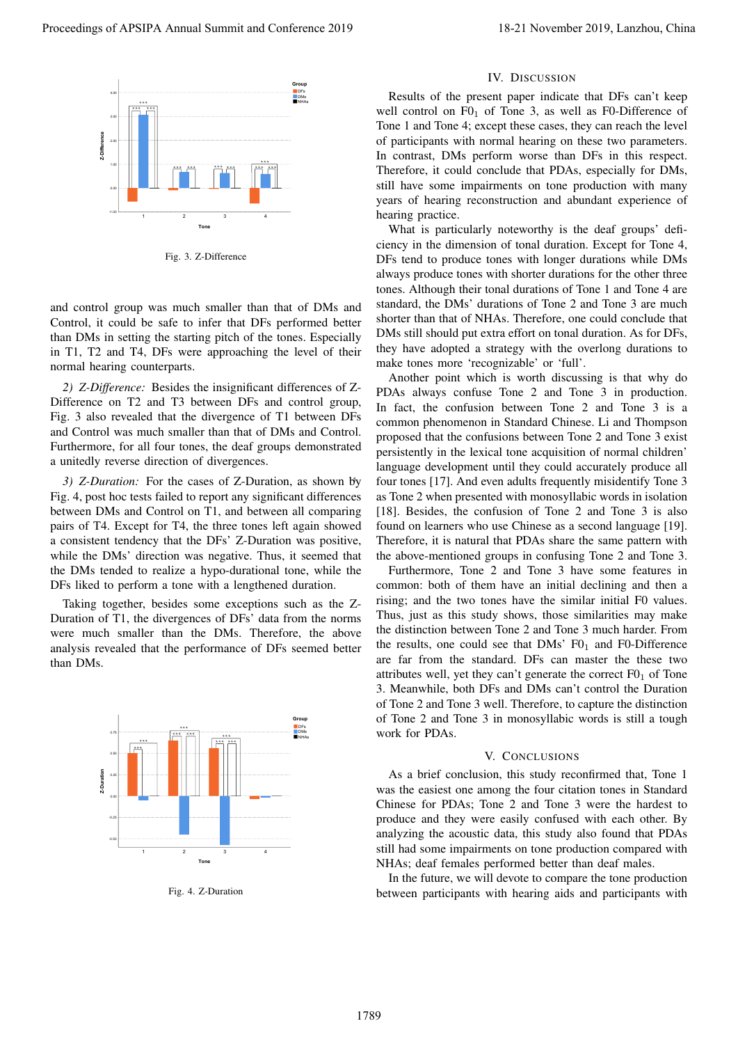

Fig. 3. Z-Difference

and control group was much smaller than that of DMs and Control, it could be safe to infer that DFs performed better than DMs in setting the starting pitch of the tones. Especially in T1, T2 and T4, DFs were approaching the level of their normal hearing counterparts.

*2) Z-Difference:* Besides the insignificant differences of Z-Difference on T2 and T3 between DFs and control group, Fig. 3 also revealed that the divergence of T1 between DFs and Control was much smaller than that of DMs and Control. Furthermore, for all four tones, the deaf groups demonstrated a unitedly reverse direction of divergences.

1 *3) Z-Duration:* For the cases of Z-Duration, as shown by Fig. 4, post hoc tests failed to report any significant differences between DMs and Control on T1, and between all comparing pairs of T4. Except for T4, the three tones left again showed a consistent tendency that the DFs' Z-Duration was positive, while the DMs' direction was negative. Thus, it seemed that the DMs tended to realize a hypo-durational tone, while the DFs liked to perform a tone with a lengthened duration.

Taking together, besides some exceptions such as the Z-Duration of T1, the divergences of DFs' data from the norms were much smaller than the DMs. Therefore, the above analysis revealed that the performance of DFs seemed better than DMs.



Fig. 4. Z-Duration

## IV. DISCUSSION

Results of the present paper indicate that DFs can't keep well control on  $F0_1$  of Tone 3, as well as F0-Difference of Tone 1 and Tone 4; except these cases, they can reach the level of participants with normal hearing on these two parameters. In contrast, DMs perform worse than DFs in this respect. Therefore, it could conclude that PDAs, especially for DMs, still have some impairments on tone production with many years of hearing reconstruction and abundant experience of hearing practice.

What is particularly noteworthy is the deaf groups' deficiency in the dimension of tonal duration. Except for Tone 4, DFs tend to produce tones with longer durations while DMs always produce tones with shorter durations for the other three tones. Although their tonal durations of Tone 1 and Tone 4 are standard, the DMs' durations of Tone 2 and Tone 3 are much shorter than that of NHAs. Therefore, one could conclude that DMs still should put extra effort on tonal duration. As for DFs, they have adopted a strategy with the overlong durations to make tones more 'recognizable' or 'full'.

Another point which is worth discussing is that why do PDAs always confuse Tone 2 and Tone 3 in production. In fact, the confusion between Tone 2 and Tone 3 is a common phenomenon in Standard Chinese. Li and Thompson proposed that the confusions between Tone 2 and Tone 3 exist persistently in the lexical tone acquisition of normal children' language development until they could accurately produce all four tones [17]. And even adults frequently misidentify Tone 3 as Tone 2 when presented with monosyllabic words in isolation [18]. Besides, the confusion of Tone 2 and Tone 3 is also found on learners who use Chinese as a second language [19]. Therefore, it is natural that PDAs share the same pattern with the above-mentioned groups in confusing Tone 2 and Tone 3. **Proceedings of APSIPA Annual Summit and Conference 2019**<br>
For the Conference 2019<br>
To the conference 2019<br>
To the Conference 2019<br>
To the Conference 2019<br>
To the Conference 2019<br>
To the Conference 2019<br>
To the Conference

Furthermore, Tone 2 and Tone 3 have some features in common: both of them have an initial declining and then a rising; and the two tones have the similar initial F0 values. Thus, just as this study shows, those similarities may make the distinction between Tone 2 and Tone 3 much harder. From the results, one could see that  $DMs'$  F0<sub>1</sub> and F0-Difference are far from the standard. DFs can master the these two attributes well, yet they can't generate the correct  $F0<sub>1</sub>$  of Tone 3. Meanwhile, both DFs and DMs can't control the Duration of Tone 2 and Tone 3 well. Therefore, to capture the distinction of Tone 2 and Tone 3 in monosyllabic words is still a tough work for PDAs.

## V. CONCLUSIONS

As a brief conclusion, this study reconfirmed that, Tone 1 was the easiest one among the four citation tones in Standard Chinese for PDAs; Tone 2 and Tone 3 were the hardest to produce and they were easily confused with each other. By analyzing the acoustic data, this study also found that PDAs still had some impairments on tone production compared with NHAs; deaf females performed better than deaf males.

In the future, we will devote to compare the tone production between participants with hearing aids and participants with